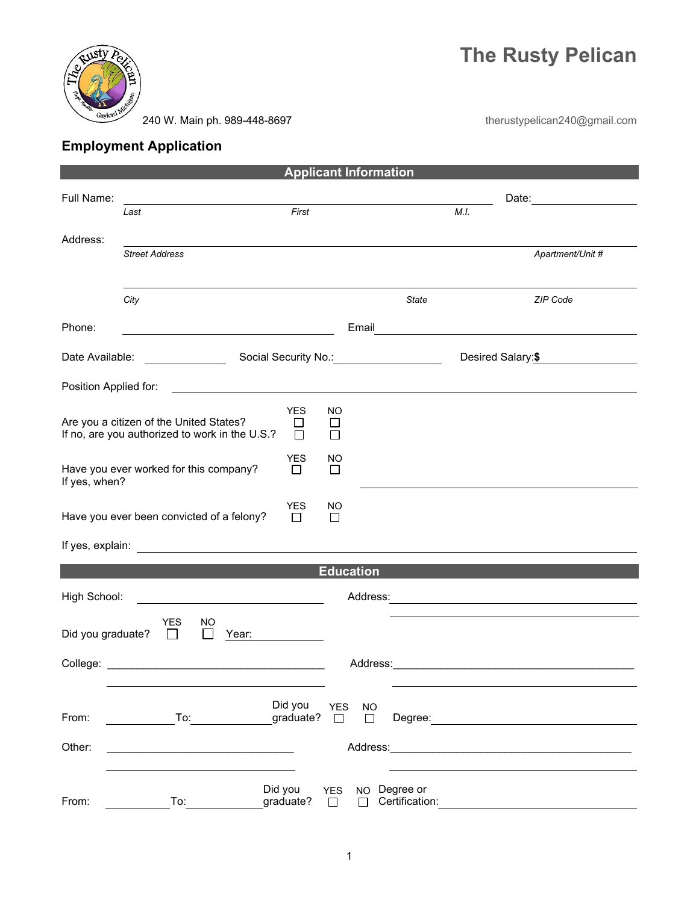



240 W. Main ph. 989-448-8697

therustypelican240@gmail.com

## **Employment Application**

| <b>Applicant Information</b>                                                                                                                   |                                                                                           |                                                                                                                                                  |                                   |                                |      |                                                                                                                                                                                                                                |
|------------------------------------------------------------------------------------------------------------------------------------------------|-------------------------------------------------------------------------------------------|--------------------------------------------------------------------------------------------------------------------------------------------------|-----------------------------------|--------------------------------|------|--------------------------------------------------------------------------------------------------------------------------------------------------------------------------------------------------------------------------------|
| Full Name:                                                                                                                                     | Last                                                                                      | First                                                                                                                                            |                                   |                                | M.I. |                                                                                                                                                                                                                                |
|                                                                                                                                                |                                                                                           |                                                                                                                                                  |                                   |                                |      |                                                                                                                                                                                                                                |
| Address:                                                                                                                                       | <b>Street Address</b>                                                                     |                                                                                                                                                  |                                   |                                |      | Apartment/Unit #                                                                                                                                                                                                               |
|                                                                                                                                                |                                                                                           |                                                                                                                                                  |                                   |                                |      |                                                                                                                                                                                                                                |
|                                                                                                                                                | City                                                                                      |                                                                                                                                                  |                                   | <b>State</b>                   |      | ZIP Code                                                                                                                                                                                                                       |
| Phone:                                                                                                                                         |                                                                                           | <u> 1989 - Johann Barnett, fransk politik (d. 1989)</u>                                                                                          | Email                             |                                |      | <u> 1989 - Johann Stoff, Amerikaansk politiker (</u>                                                                                                                                                                           |
| Date Available:                                                                                                                                |                                                                                           | Social Security No.: Note that the second security No.:                                                                                          |                                   |                                |      | Desired Salary:\$                                                                                                                                                                                                              |
| Position Applied for:<br><u> 1989 - Andrea Station Barbara, amerikan personal di personal dengan personal dengan personal dengan personal </u> |                                                                                           |                                                                                                                                                  |                                   |                                |      |                                                                                                                                                                                                                                |
|                                                                                                                                                | Are you a citizen of the United States?<br>If no, are you authorized to work in the U.S.? | <b>YES</b><br>$\Box$<br>П                                                                                                                        | NO<br>$\Box$<br>П                 |                                |      |                                                                                                                                                                                                                                |
| If yes, when?                                                                                                                                  | Have you ever worked for this company?                                                    | <b>YES</b><br>□                                                                                                                                  | NO<br>□                           |                                |      |                                                                                                                                                                                                                                |
| <b>YES</b><br>NO.<br>Have you ever been convicted of a felony?<br>$\Box$<br>□                                                                  |                                                                                           |                                                                                                                                                  |                                   |                                |      |                                                                                                                                                                                                                                |
|                                                                                                                                                |                                                                                           |                                                                                                                                                  |                                   |                                |      |                                                                                                                                                                                                                                |
| <b>Education</b>                                                                                                                               |                                                                                           |                                                                                                                                                  |                                   |                                |      |                                                                                                                                                                                                                                |
| High School:<br><u> 1980 - Johann Barbara, martxa alemaniar a</u>                                                                              |                                                                                           |                                                                                                                                                  |                                   |                                |      |                                                                                                                                                                                                                                |
| Did you graduate?                                                                                                                              | <b>YES</b><br>NO<br>$\perp$                                                               | Year:                                                                                                                                            |                                   |                                |      |                                                                                                                                                                                                                                |
|                                                                                                                                                |                                                                                           |                                                                                                                                                  |                                   |                                |      |                                                                                                                                                                                                                                |
| From:                                                                                                                                          |                                                                                           | Did you<br>graduate? $\square$<br>To: and the state of the state of the state of the state of the state of the state of the state of the state o | <b>YES</b><br><b>NO</b><br>$\Box$ |                                |      |                                                                                                                                                                                                                                |
| Other:                                                                                                                                         | the control of the control of the control of the control of the control of the control of |                                                                                                                                                  |                                   |                                |      | Address: Analysis and the contract of the contract of the contract of the contract of the contract of the contract of the contract of the contract of the contract of the contract of the contract of the contract of the cont |
| From:                                                                                                                                          | To:                                                                                       | Did you<br>graduate?                                                                                                                             | <b>YES</b><br>$\Box$<br>П         | NO Degree or<br>Certification: |      |                                                                                                                                                                                                                                |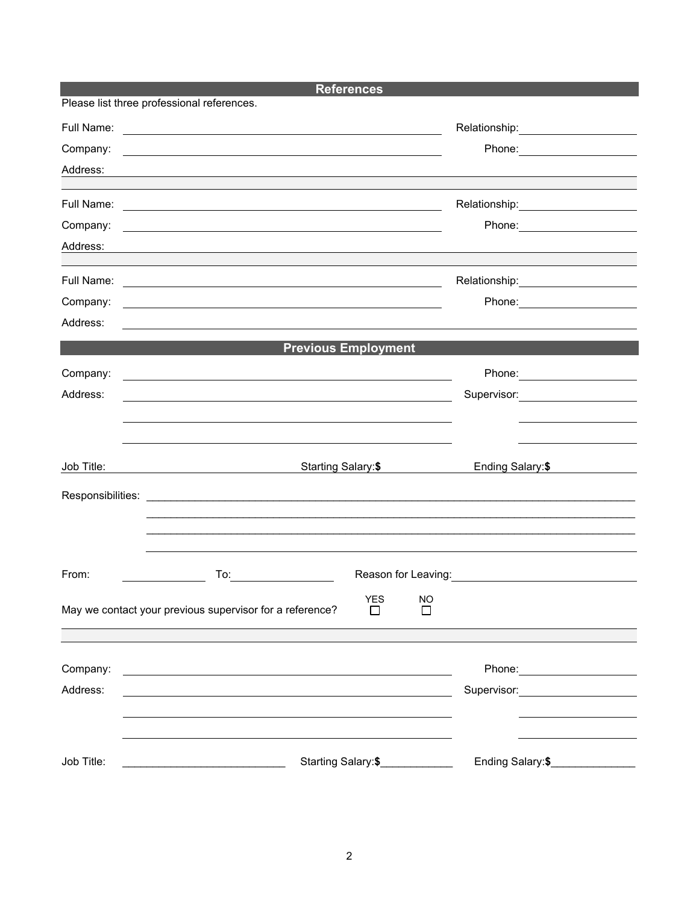|            |                                                                                                                       | <b>References</b>          |                    |                                                                                                                                           |  |
|------------|-----------------------------------------------------------------------------------------------------------------------|----------------------------|--------------------|-------------------------------------------------------------------------------------------------------------------------------------------|--|
|            | Please list three professional references.                                                                            |                            |                    |                                                                                                                                           |  |
| Full Name: |                                                                                                                       |                            |                    | Relationship: 2000                                                                                                                        |  |
| Company:   | <u> 2000 - Andrea Andrewski, politik američki politik († 20. dubna 1914)</u>                                          |                            |                    | Phone: _______________________                                                                                                            |  |
| Address:   |                                                                                                                       |                            |                    |                                                                                                                                           |  |
|            |                                                                                                                       |                            |                    |                                                                                                                                           |  |
|            |                                                                                                                       |                            |                    | Relationship: ______________________                                                                                                      |  |
| Company:   |                                                                                                                       |                            |                    |                                                                                                                                           |  |
| Address:   | ,我们也不会有什么。""我们的人,我们也不会有什么?""我们的人,我们也不会有什么?""我们的人,我们也不会有什么?""我们的人,我们也不会有什么?""我们的人                                      |                            |                    |                                                                                                                                           |  |
|            |                                                                                                                       |                            |                    |                                                                                                                                           |  |
|            |                                                                                                                       |                            |                    | Relationship: 2000                                                                                                                        |  |
| Company:   | <u> 1989 - Johann Barn, amerikan besteman besteman besteman besteman besteman besteman besteman besteman besteman</u> |                            |                    |                                                                                                                                           |  |
| Address:   |                                                                                                                       |                            |                    |                                                                                                                                           |  |
|            |                                                                                                                       | <b>Previous Employment</b> |                    |                                                                                                                                           |  |
| Company:   |                                                                                                                       |                            |                    | Phone: _________________________                                                                                                          |  |
| Address:   | <u> 2000 - Jan James Alexandri, politik eta politik eta politik eta politik eta politik eta politik eta politik </u>  |                            |                    | Supervisor: ______________________                                                                                                        |  |
|            | <u> Alexandro de la contrada de la contrada de la contrada de la contrada de la contrada de la contrada de la co</u>  |                            |                    |                                                                                                                                           |  |
|            |                                                                                                                       |                            |                    |                                                                                                                                           |  |
|            |                                                                                                                       |                            |                    |                                                                                                                                           |  |
| Job Title: |                                                                                                                       | Starting Salary: \$        |                    | Ending Salary:\$<br><u> 1989 - Jan Sterling Sterling Sterling Sterling Sterling Sterling Sterling Sterling Sterling Sterling Sterling</u> |  |
|            |                                                                                                                       |                            |                    |                                                                                                                                           |  |
|            |                                                                                                                       |                            |                    |                                                                                                                                           |  |
|            |                                                                                                                       |                            |                    |                                                                                                                                           |  |
|            |                                                                                                                       |                            |                    |                                                                                                                                           |  |
| From:      |                                                                                                                       |                            |                    |                                                                                                                                           |  |
|            |                                                                                                                       |                            |                    |                                                                                                                                           |  |
|            | May we contact your previous supervisor for a reference?                                                              | YES<br>$\mathbf{I}$        | NO<br>$\mathbf{I}$ |                                                                                                                                           |  |
|            |                                                                                                                       |                            |                    |                                                                                                                                           |  |
|            |                                                                                                                       |                            |                    |                                                                                                                                           |  |
| Company:   | and the control of the control of the control of the control of the control of the control of the control of the      |                            |                    | Phone: ________________________                                                                                                           |  |
| Address:   |                                                                                                                       |                            |                    | Supervisor: Supervisor:                                                                                                                   |  |
|            |                                                                                                                       |                            |                    |                                                                                                                                           |  |
|            |                                                                                                                       |                            |                    |                                                                                                                                           |  |
|            |                                                                                                                       |                            |                    | Ending Salary:\$                                                                                                                          |  |
| Job Title: | <u> 1980 - Johann Barbara, martin amerikan basal dan berasal dalam basal dalam basal dalam basal dalam basal dala</u> | Starting Salary:\$         |                    |                                                                                                                                           |  |